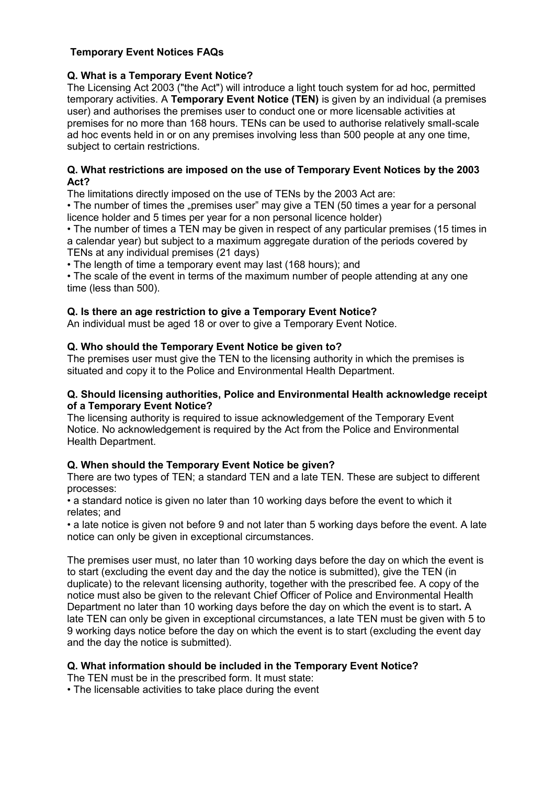## **Temporary Event Notices FAQs**

# **Q. What is a Temporary Event Notice?**

 The Licensing Act 2003 ("the Act") will introduce a light touch system for ad hoc, permitted  temporary activities. A **Temporary Event Notice (TEN)** is given by an individual (a premises user) and authorises the premises user to conduct one or more licensable activities at premises for no more than 168 hours. TENs can be used to authorise relatively small-scale ad hoc events held in or on any premises involving less than 500 people at any one time, subject to certain restrictions.

#### **Q. What restrictions are imposed on the use of Temporary Event Notices by the 2003 Act?**

The limitations directly imposed on the use of TENs by the 2003 Act are:

• The number of times the "premises user" may give a TEN (50 times a year for a personal licence holder and 5 times per year for a non personal licence holder)

 • The number of times a TEN may be given in respect of any particular premises (15 times in a calendar year) but subject to a maximum aggregate duration of the periods covered by TENs at any individual premises (21 days)

• The length of time a temporary event may last (168 hours); and

 • The scale of the event in terms of the maximum number of people attending at any one time (less than 500).

### **Q. Is there an age restriction to give a Temporary Event Notice?**

An individual must be aged 18 or over to give a Temporary Event Notice.

## **Q. Who should the Temporary Event Notice be given to?**

 The premises user must give the TEN to the licensing authority in which the premises is situated and copy it to the Police and Environmental Health Department.

#### **Q. Should licensing authorities, Police and Environmental Health acknowledge receipt of a Temporary Event Notice?**

 The licensing authority is required to issue acknowledgement of the Temporary Event Notice. No acknowledgement is required by the Act from the Police and Environmental Health Department.

# **Q. When should the Temporary Event Notice be given?**

 There are two types of TEN; a standard TEN and a late TEN. These are subject to different processes:

processes:<br>• a standard notice is given no later than 10 working days before the event to which it relates; and

 • a late notice is given not before 9 and not later than 5 working days before the event. A late notice can only be given in exceptional circumstances.

 The premises user must, no later than 10 working days before the day on which the event is to start (excluding the event day and the day the notice is submitted), give the TEN (in duplicate) to the relevant licensing authority, together with the prescribed fee. A copy of the notice must also be given to the relevant Chief Officer of Police and Environmental Health Department no later than 10 working days before the day on which the event is to start**.** A late TEN can only be given in exceptional circumstances, a late TEN must be given with 5 to 9 working days notice before the day on which the event is to start (excluding the event day and the day the notice is submitted).

## **Q. What information should be included in the Temporary Event Notice?**

The TEN must be in the prescribed form. It must state:

• The licensable activities to take place during the event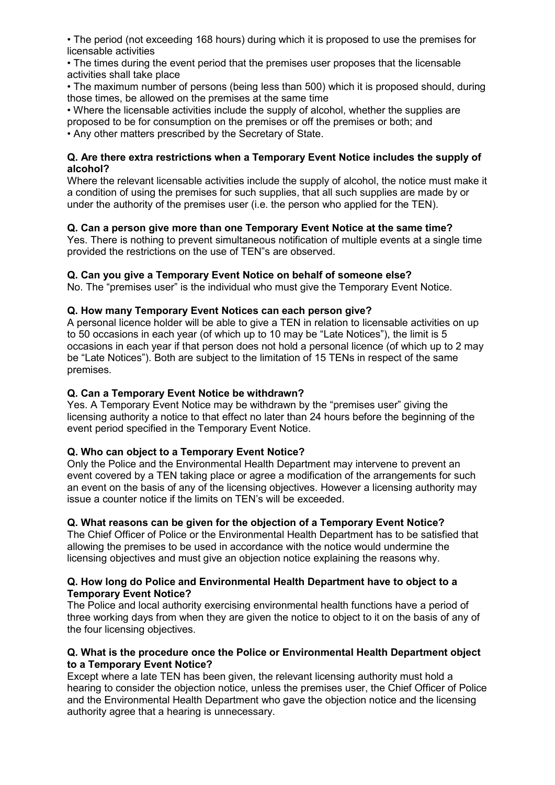• The period (not exceeding 168 hours) during which it is proposed to use the premises for licensable activities

 • The times during the event period that the premises user proposes that the licensable activities shall take place

 • The maximum number of persons (being less than 500) which it is proposed should, during those times, be allowed on the premises at the same time

 • Where the licensable activities include the supply of alcohol, whether the supplies are proposed to be for consumption on the premises or off the premises or both; and • Any other matters prescribed by the Secretary of State.

#### **Q. Are there extra restrictions when a Temporary Event Notice includes the supply of alcohol?**

 Where the relevant licensable activities include the supply of alcohol, the notice must make it a condition of using the premises for such supplies, that all such supplies are made by or under the authority of the premises user (i.e. the person who applied for the TEN).

# **Q. Can a person give more than one Temporary Event Notice at the same time?**

Yes. There is nothing to prevent simultaneous notification of multiple events at a single time provided the restrictions on the use of TEN"s are observed.

## **Q. Can you give a Temporary Event Notice on behalf of someone else?**

No. The "premises user" is the individual who must give the Temporary Event Notice.

## **Q. How many Temporary Event Notices can each person give?**

A personal licence holder will be able to give a TEN in relation to licensable activities on up to 50 occasions in each year (of which up to 10 may be "Late Notices"), the limit is 5 occasions in each year if that person does not hold a personal licence (of which up to 2 may be "Late Notices"). Both are subject to the limitation of 15 TENs in respect of the same premises.

### **Q. Can a Temporary Event Notice be withdrawn?**

 Yes. A Temporary Event Notice may be withdrawn by the "premises user" giving the licensing authority a notice to that effect no later than 24 hours before the beginning of the event period specified in the Temporary Event Notice.

## **Q. Who can object to a Temporary Event Notice?**

 Only the Police and the Environmental Health Department may intervene to prevent an event covered by a TEN taking place or agree a modification of the arrangements for such an event on the basis of any of the licensing objectives. However a licensing authority may issue a counter notice if the limits on TEN's will be exceeded.

## **Q. What reasons can be given for the objection of a Temporary Event Notice?**

 The Chief Officer of Police or the Environmental Health Department has to be satisfied that allowing the premises to be used in accordance with the notice would undermine the licensing objectives and must give an objection notice explaining the reasons why.

### **Q. How long do Police and Environmental Health Department have to object to a Temporary Event Notice?**

 The Police and local authority exercising environmental health functions have a period of three working days from when they are given the notice to object to it on the basis of any of the four licensing objectives.

#### **Q. What is the procedure once the Police or Environmental Health Department object to a Temporary Event Notice?**

 Except where a late TEN has been given, the relevant licensing authority must hold a hearing to consider the objection notice, unless the premises user, the Chief Officer of Police and the Environmental Health Department who gave the objection notice and the licensing authority agree that a hearing is unnecessary.